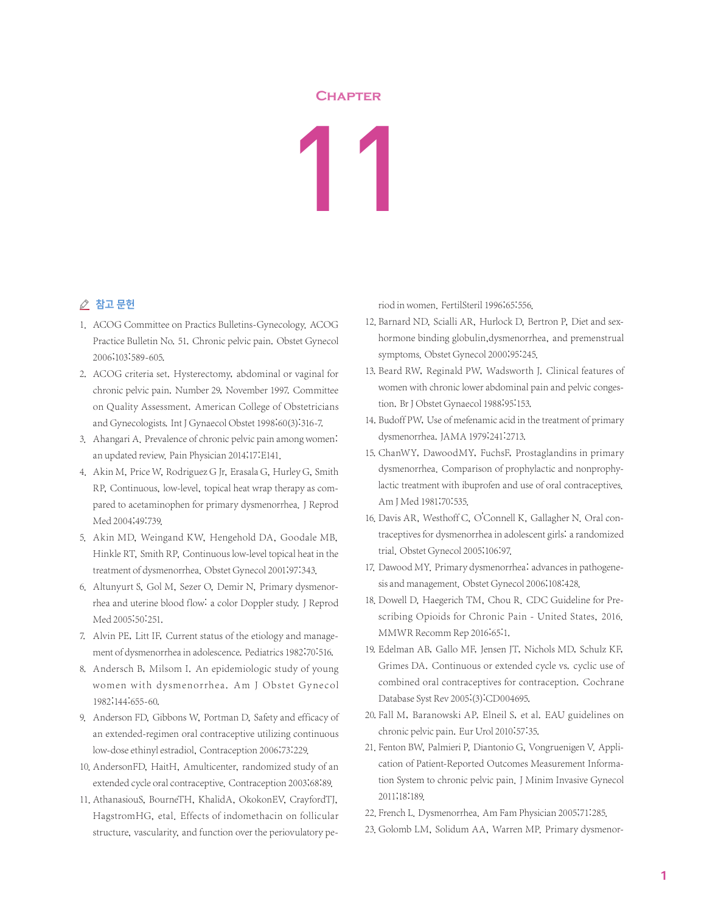## **Chapter**

11

## △ 참고 문헌

- 1. ACOG Committee on Practics Bulletins-Gynecology. ACOG Practice Bulletin No. 51. Chronic pelvic pain. Obstet Gynecol 2006;103:589-605.
- 2. ACOG criteria set. Hysterectomy, abdominal or vaginal for chronic pelvic pain. Number 29, November 1997. Committee on Quality Assessment. American College of Obstetricians and Gynecologists. Int J Gynaecol Obstet 1998;60(3):316-7.
- 3. Ahangari A. Prevalence of chronic pelvic pain among women: an updated review. Pain Physician 2014;17:E141.
- 4. Akin M, Price W, Rodriguez G Jr, Erasala G, Hurley G, Smith RP, Continuous, low-level, topical heat wrap therapy as compared to acetaminophen for primary dysmenorrhea. J Reprod Med 2004;49:739.
- 5. Akin MD, Weingand KW, Hengehold DA, Goodale MB, Hinkle RT, Smith RP, Continuous low-level topical heat in the treatment of dysmenorrhea. Obstet Gynecol 2001;97:343.
- 6. Altunyurt S, Gol M, Sezer O, Demir N, Primary dysmenorrhea and uterine blood flow: a color Doppler study. J Reprod Med 2005;50:251.
- 7. Alvin PE, Litt IF, Current status of the etiology and management of dysmenorrhea in adolescence. Pediatrics 1982;70:516.
- 8. Andersch B, Milsom I. An epidemiologic study of young women with dysmenorrhea. Am J Obstet Gynecol 1982;144:655-60.
- 9. Anderson FD, Gibbons W, Portman D, Safety and efficacy of an extended-regimen oral contraceptive utilizing continuous low-dose ethinyl estradiol, Contraception 2006;73:229.
- 10. AndersonFD, HaitH, Amulticenter, randomized study of an extended cycle oral contraceptive. Contraception 2003;68:89.
- 11. AthanasiouS, BourneTH, KhalidA, OkokonEV, CrayfordTJ, HagstromHG, etal. Effects of indomethacin on follicular structure, vascularity, and function over the periovulatory pe-

riod in women. FertilSteril 1996;65:556.

- 12. Barnard ND, Scialli AR, Hurlock D, Bertron P, Diet and sexhormone binding globulin,dysmenorrhea, and premenstrual symptoms. Obstet Gynecol 2000;95:245.
- 13. Beard RW, Reginald PW, Wadsworth J. Clinical features of women with chronic lower abdominal pain and pelvic congestion. Br J Obstet Gynaecol 1988;95:153.
- 14. Budoff PW, Use of mefenamic acid in the treatment of primary dysmenorrhea.JAMA 1979;241:2713.
- 15. ChanWY, DawoodMY, FuchsF, Prostaglandins in primary dysmenorrhea. Comparison of prophylactic and nonprophylactic treatment with ibuprofen and use of oral contraceptives. Am J Med 1981;70:535.
- 16. Davis AR, Westhoff C, O'Connell K, Gallagher N. Oral contraceptives for dysmenorrhea in adolescent girls: a randomized trial. Obstet Gynecol 2005;106:97.
- 17. Dawood MY. Primary dysmenorrhea: advances in pathogenesis and management. Obstet Gynecol 2006;108:428.
- 18. Dowell D, Haegerich TM, Chou R. CDC Guideline for Prescribing Opioids for Chronic Pain - United States, 2016. MMWR Recomm Rep 2016;65:1.
- 19. Edelman AB, Gallo MF, Jensen JT, Nichols MD, Schulz KF, Grimes DA. Continuous or extended cycle vs. cyclic use of combined oral contraceptives for contraception. Cochrane Database Syst Rev 2005;(3):CD004695.
- 20. Fall M, Baranowski AP, Elneil S, et al. EAU guidelines on chronic pelvic pain. Eur Urol 2010;57:35.
- 21. Fenton BW, Palmieri P, Diantonio G, Vongruenigen V. Application of Patient-Reported Outcomes Measurement Information System to chronic pelvic pain. J Minim Invasive Gynecol 2011;18:189.
- 22. French L. Dysmenorrhea. Am Fam Physician 2005;71:285.
- 23. Golomb LM, Solidum AA, Warren MP. Primary dysmenor-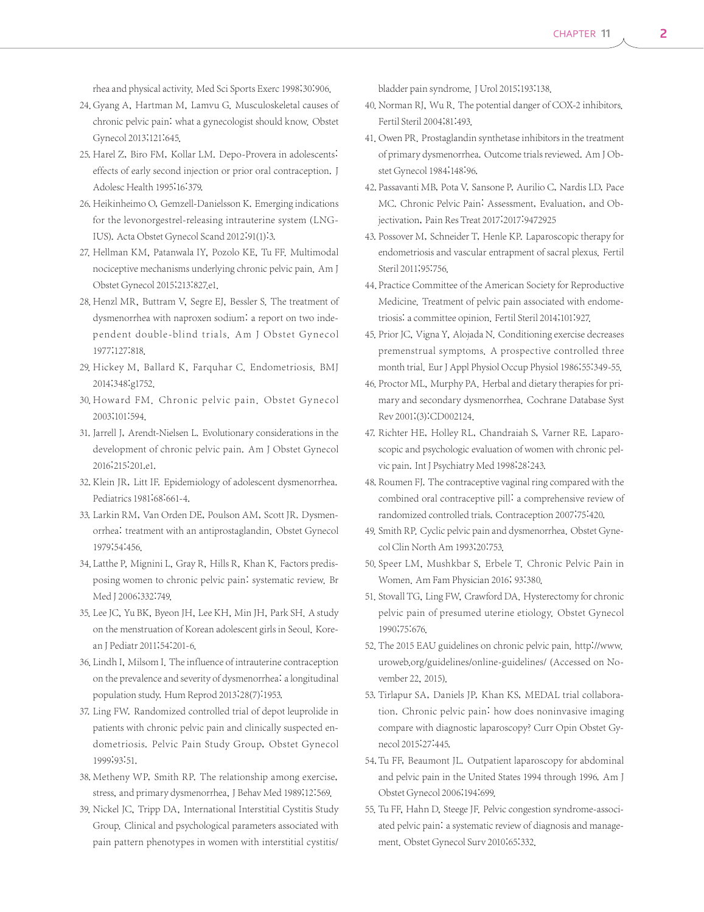rhea and physical activity. Med Sci Sports Exerc 1998;30:906.

- 24. Gyang A, Hartman M, Lamvu G, Musculoskeletal causes of chronic pelvic pain: what a gynecologist should know. Obstet Gynecol 2013;121:645.
- 25. Harel Z, Biro FM, Kollar LM. Depo-Provera in adolescents: effects of early second injection or prior oral contraception. J Adolesc Health 1995;16:379.
- 26. Heikinheimo O, Gemzell-Danielsson K. Emerging indications for the levonorgestrel-releasing intrauterine system (LNG-IUS). Acta Obstet Gynecol Scand 2012;91(1):3.
- 27. Hellman KM, Patanwala IY, Pozolo KE, Tu FF. Multimodal nociceptive mechanisms underlying chronic pelvic pain. Am J Obstet Gynecol 2015;213:827.e1.
- 28. Henzl MR, Buttram V, Segre EJ, Bessler S. The treatment of dysmenorrhea with naproxen sodium: a report on two independent double-blind trials. Am J Obstet Gynecol 1977;127:818.
- 29. Hickey M, Ballard K, Farquhar C. Endometriosis. BMJ 2014;348:g1752.
- 30. Howard FM. Chronic pelvic pain. Obstet Gynecol 2003;101:594.
- 31. Jarrell J, Arendt-Nielsen L. Evolutionary considerations in the development of chronic pelvic pain. Am J Obstet Gynecol 2016;215:201.e1.
- 32. Klein JR, Litt IF. Epidemiology of adolescent dysmenorrhea. Pediatrics 1981;68:661-4.
- 33. Larkin RM, Van Orden DE, Poulson AM, Scott JR. Dysmenorrhea: treatment with an antiprostaglandin. Obstet Gynecol 1979;54:456.
- 34. Latthe P, Mignini L, Gray R, Hills R, Khan K. Factors predisposing women to chronic pelvic pain: systematic review. Br Med J 2006;332:749.
- 35. Lee JC, Yu BK, Byeon JH, Lee KH, Min JH, Park SH. A study on the menstruation of Korean adolescent girls in Seoul. Korean J Pediatr 2011;54:201-6.
- 36. Lindh I, Milsom I. The influence of intrauterine contraception on the prevalence and severity of dysmenorrhea: a longitudinal population study. Hum Reprod 2013;28(7):1953.
- 37. Ling FW. Randomized controlled trial of depot leuprolide in patients with chronic pelvic pain and clinically suspected endometriosis. Pelvic Pain Study Group, Obstet Gynecol 1999;93:51.
- 38. Metheny WP, Smith RP. The relationship among exercise, stress, and primary dysmenorrhea, J Behav Med 1989;12:569.
- 39. Nickel JC, Tripp DA, International Interstitial Cystitis Study Group. Clinical and psychological parameters associated with pain pattern phenotypes in women with interstitial cystitis/

bladder pain syndrome. J Urol 2015;193:138.

- 40. Norman RJ, Wu R. The potential danger of COX-2 inhibitors. Fertil Steril 2004;81:493.
- 41. Owen PR. Prostaglandin synthetase inhibitors in the treatment of primary dysmenorrhea. Outcome trials reviewed. Am J Obstet Gynecol 1984;148:96.
- 42. Passavanti MB, Pota V, Sansone P, Aurilio C, Nardis LD, Pace MC. Chronic Pelvic Pain: Assessment, Evaluation, and Objectivation, Pain Res Treat 2017;2017:9472925
- 43. Possover M, Schneider T, Henle KP. Laparoscopic therapy for endometriosis and vascular entrapment of sacral plexus. Fertil Steril 2011;95:756.
- 44. Practice Committee of the American Society for Reproductive Medicine. Treatment of pelvic pain associated with endometriosis: a committee opinion. Fertil Steril 2014;101:927.
- 45. Prior JC, Vigna Y, Alojada N. Conditioning exercise decreases premenstrual symptoms. A prospective controlled three month trial. Eur J Appl Physiol Occup Physiol 1986;55:349-55.
- 46. Proctor ML, Murphy PA. Herbal and dietary therapies for primary and secondary dysmenorrhea. Cochrane Database Syst Rev 2001;(3):CD002124.
- 47. Richter HE, Holley RL, Chandraiah S, Varner RE. Laparoscopic and psychologic evaluation of women with chronic pelvic pain. Int J Psychiatry Med 1998;28:243.
- 48. Roumen FJ. The contraceptive vaginal ring compared with the combined oral contraceptive pill: a comprehensive review of randomized controlled trials. Contraception 2007;75:420.
- 49. Smith RP. Cyclic pelvic pain and dysmenorrhea. Obstet Gynecol Clin North Am 1993;20:753.
- 50. Speer LM, Mushkbar S, Erbele T. Chronic Pelvic Pain in Women. Am Fam Physician 2016; 93:380.
- 51. Stovall TG, Ling FW, Crawford DA. Hysterectomy for chronic pelvic pain of presumed uterine etiology. Obstet Gynecol 1990;75:676.
- 52. The 2015 EAU guidelines on chronic pelvic pain. http://www. uroweb.org/guidelines/online-guidelines/ (Accessed on November 22, 2015).
- 53. Tirlapur SA, Daniels JP, Khan KS, MEDAL trial collaboration. Chronic pelvic pain: how does noninvasive imaging compare with diagnostic laparoscopy? Curr Opin Obstet Gynecol 2015;27:445.
- 54. Tu FF, Beaumont JL. Outpatient laparoscopy for abdominal and pelvic pain in the United States 1994 through 1996. Am J Obstet Gynecol 2006;194:699.
- 55. Tu FF, Hahn D, Steege JF. Pelvic congestion syndrome-associated pelvic pain: a systematic review of diagnosis and management. Obstet Gynecol Surv 2010;65:332.